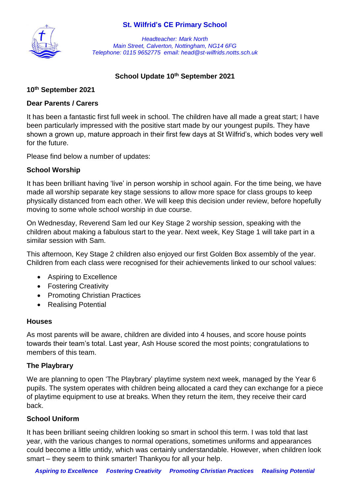### **St. Wilfrid's CE Primary School**



*Headteacher: Mark North Main Street, Calverton, Nottingham, NG14 6FG Telephone: 0115 9652775 email: head@st-wilfrids.notts.sch.uk*

### **School Update 10th September 2021**

#### **10th September 2021**

### **Dear Parents / Carers**

It has been a fantastic first full week in school. The children have all made a great start; I have been particularly impressed with the positive start made by our youngest pupils. They have shown a grown up, mature approach in their first few days at St Wilfrid's, which bodes very well for the future.

Please find below a number of updates:

#### **School Worship**

It has been brilliant having 'live' in person worship in school again. For the time being, we have made all worship separate key stage sessions to allow more space for class groups to keep physically distanced from each other. We will keep this decision under review, before hopefully moving to some whole school worship in due course.

On Wednesday, Reverend Sam led our Key Stage 2 worship session, speaking with the children about making a fabulous start to the year. Next week, Key Stage 1 will take part in a similar session with Sam.

This afternoon, Key Stage 2 children also enjoyed our first Golden Box assembly of the year. Children from each class were recognised for their achievements linked to our school values:

- Aspiring to Excellence
- Fostering Creativity
- Promoting Christian Practices
- Realising Potential

#### **Houses**

As most parents will be aware, children are divided into 4 houses, and score house points towards their team's total. Last year, Ash House scored the most points; congratulations to members of this team.

# **The Playbrary**

We are planning to open 'The Playbrary' playtime system next week, managed by the Year 6 pupils. The system operates with children being allocated a card they can exchange for a piece of playtime equipment to use at breaks. When they return the item, they receive their card back.

#### **School Uniform**

It has been brilliant seeing children looking so smart in school this term. I was told that last year, with the various changes to normal operations, sometimes uniforms and appearances could become a little untidy, which was certainly understandable. However, when children look smart – they seem to think smarter! Thankyou for all your help.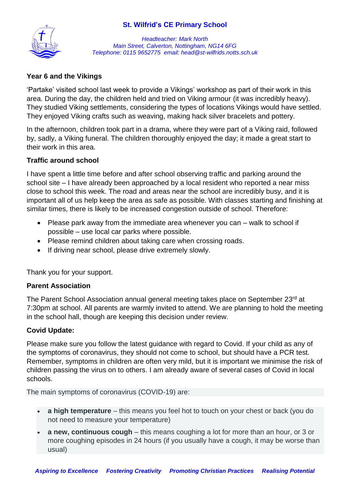# **St. Wilfrid's CE Primary School**



*Headteacher: Mark North Main Street, Calverton, Nottingham, NG14 6FG Telephone: 0115 9652775 email: head@st-wilfrids.notts.sch.uk*

# **Year 6 and the Vikings**

'Partake' visited school last week to provide a Vikings' workshop as part of their work in this area. During the day, the children held and tried on Viking armour (it was incredibly heavy). They studied Viking settlements, considering the types of locations Vikings would have settled. They enjoyed Viking crafts such as weaving, making hack silver bracelets and pottery.

In the afternoon, children took part in a drama, where they were part of a Viking raid, followed by, sadly, a Viking funeral. The children thoroughly enjoyed the day; it made a great start to their work in this area.

# **Traffic around school**

I have spent a little time before and after school observing traffic and parking around the school site – I have already been approached by a local resident who reported a near miss close to school this week. The road and areas near the school are incredibly busy, and it is important all of us help keep the area as safe as possible. With classes starting and finishing at similar times, there is likely to be increased congestion outside of school. Therefore:

- Please park away from the immediate area whenever you can walk to school if possible – use local car parks where possible.
- Please remind children about taking care when crossing roads.
- If driving near school, please drive extremely slowly.

Thank you for your support.

# **Parent Association**

The Parent School Association annual general meeting takes place on September 23<sup>rd</sup> at 7:30pm at school. All parents are warmly invited to attend. We are planning to hold the meeting in the school hall, though are keeping this decision under review.

# **Covid Update:**

Please make sure you follow the latest guidance with regard to Covid. If your child as any of the symptoms of coronavirus, they should not come to school, but should have a PCR test. Remember, symptoms in children are often very mild, but it is important we minimise the risk of children passing the virus on to others. I am already aware of several cases of Covid in local schools.

The main symptoms of coronavirus (COVID-19) are:

- **a high temperature** this means you feel hot to touch on your chest or back (you do not need to measure your temperature)
- **a new, continuous cough** this means coughing a lot for more than an hour, or 3 or more coughing episodes in 24 hours (if you usually have a cough, it may be worse than usual)